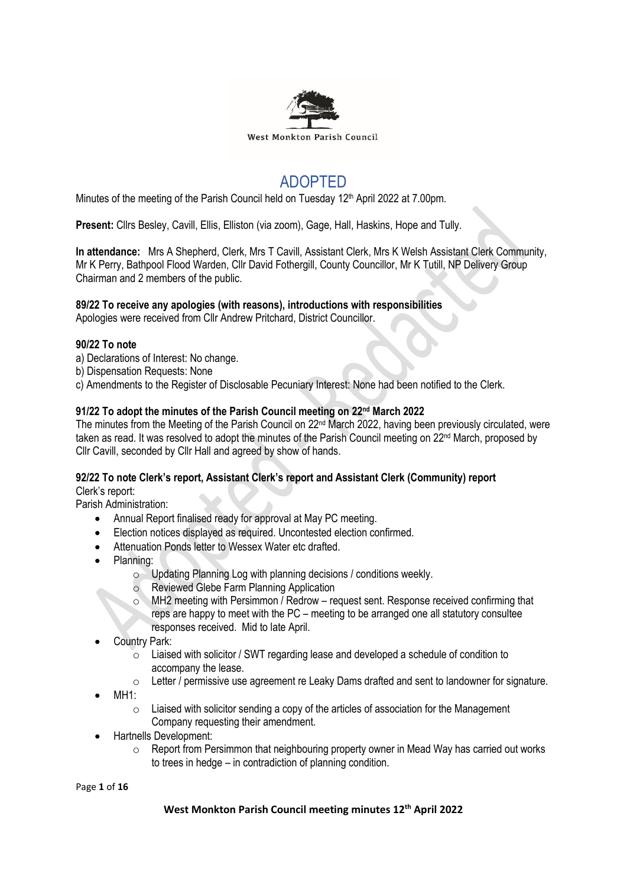

## ADOPTED

Minutes of the meeting of the Parish Council held on Tuesday 12<sup>th</sup> April 2022 at 7.00pm.

**Present:** Cllrs Besley, Cavill, Ellis, Elliston (via zoom), Gage, Hall, Haskins, Hope and Tully.

**In attendance:** Mrs A Shepherd, Clerk, Mrs T Cavill, Assistant Clerk, Mrs K Welsh Assistant Clerk Community, Mr K Perry, Bathpool Flood Warden, Cllr David Fothergill, County Councillor, Mr K Tutill, NP Delivery Group Chairman and 2 members of the public.

## **89/22 To receive any apologies (with reasons), introductions with responsibilities**

Apologies were received from Cllr Andrew Pritchard, District Councillor.

#### **90/22 To note**

- a) Declarations of Interest: No change.
- b) Dispensation Requests: None
- c) Amendments to the Register of Disclosable Pecuniary Interest: None had been notified to the Clerk.

## **91/22 To adopt the minutes of the Parish Council meeting on 22 nd March 2022**

The minutes from the Meeting of the Parish Council on 22nd March 2022, having been previously circulated, were taken as read. It was resolved to adopt the minutes of the Parish Council meeting on 22<sup>nd</sup> March, proposed by Cllr Cavill, seconded by Cllr Hall and agreed by show of hands.

## **92/22 To note Clerk's report, Assistant Clerk's report and Assistant Clerk (Community) report**

Clerk's report:

Parish Administration:

- Annual Report finalised ready for approval at May PC meeting.
- Election notices displayed as required. Uncontested election confirmed.
- Attenuation Ponds letter to Wessex Water etc drafted.
- Planning:
	- $\circ$  Updating Planning Log with planning decisions / conditions weekly.
	- Reviewed Glebe Farm Planning Application
	- o MH2 meeting with Persimmon / Redrow request sent. Response received confirming that reps are happy to meet with the PC – meeting to be arranged one all statutory consultee responses received. Mid to late April.
- Country Park:
	- $\circ$  Liaised with solicitor / SWT regarding lease and developed a schedule of condition to accompany the lease.
	- o Letter / permissive use agreement re Leaky Dams drafted and sent to landowner for signature.
- $MH1:$ 
	- o Liaised with solicitor sending a copy of the articles of association for the Management Company requesting their amendment.
- Hartnells Development:
	- $\circ$  Report from Persimmon that neighbouring property owner in Mead Way has carried out works to trees in hedge – in contradiction of planning condition.

Page **1** of **16**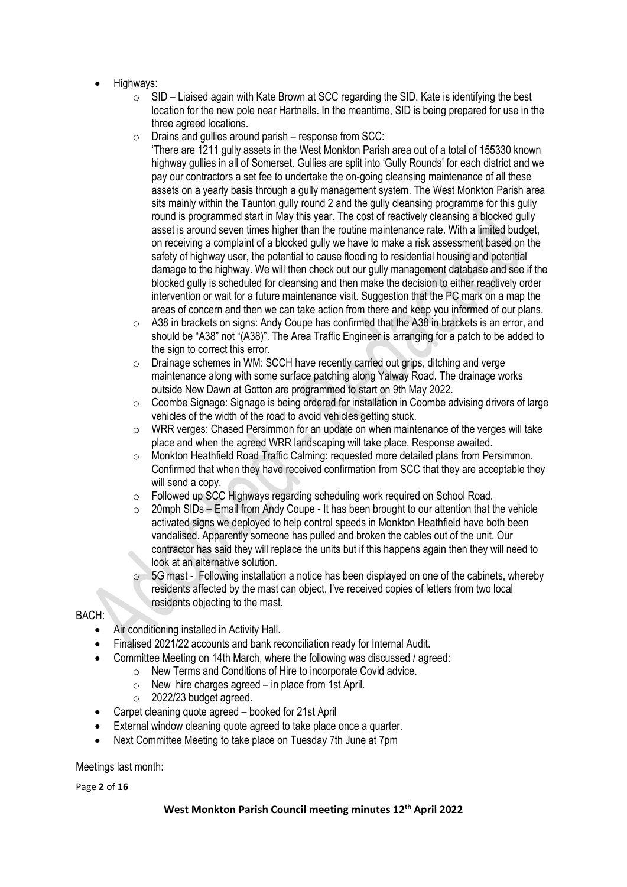- Highways:
	- $\circ$  SID Liaised again with Kate Brown at SCC regarding the SID. Kate is identifying the best location for the new pole near Hartnells. In the meantime, SID is being prepared for use in the three agreed locations.
	- $\circ$  Drains and gullies around parish response from SCC:

'There are 1211 gully assets in the West Monkton Parish area out of a total of 155330 known highway gullies in all of Somerset. Gullies are split into 'Gully Rounds' for each district and we pay our contractors a set fee to undertake the on-going cleansing maintenance of all these assets on a yearly basis through a gully management system. The West Monkton Parish area sits mainly within the Taunton gully round 2 and the gully cleansing programme for this gully round is programmed start in May this year. The cost of reactively cleansing a blocked gully asset is around seven times higher than the routine maintenance rate. With a limited budget, on receiving a complaint of a blocked gully we have to make a risk assessment based on the safety of highway user, the potential to cause flooding to residential housing and potential damage to the highway. We will then check out our gully management database and see if the blocked gully is scheduled for cleansing and then make the decision to either reactively order intervention or wait for a future maintenance visit. Suggestion that the PC mark on a map the areas of concern and then we can take action from there and keep you informed of our plans.

- o A38 in brackets on signs: Andy Coupe has confirmed that the A38 in brackets is an error, and should be "A38" not "(A38)". The Area Traffic Engineer is arranging for a patch to be added to the sign to correct this error.
- o Drainage schemes in WM: SCCH have recently carried out grips, ditching and verge maintenance along with some surface patching along Yalway Road. The drainage works outside New Dawn at Gotton are programmed to start on 9th May 2022.
- $\circ$  Coombe Signage: Signage is being ordered for installation in Coombe advising drivers of large vehicles of the width of the road to avoid vehicles getting stuck.
- $\circ$  WRR verges: Chased Persimmon for an update on when maintenance of the verges will take place and when the agreed WRR landscaping will take place. Response awaited.
- o Monkton Heathfield Road Traffic Calming: requested more detailed plans from Persimmon. Confirmed that when they have received confirmation from SCC that they are acceptable they will send a copy.
- o Followed up SCC Highways regarding scheduling work required on School Road.
- $\circ$  20mph SIDs Email from Andy Coupe It has been brought to our attention that the vehicle activated signs we deployed to help control speeds in Monkton Heathfield have both been vandalised. Apparently someone has pulled and broken the cables out of the unit. Our contractor has said they will replace the units but if this happens again then they will need to look at an alternative solution.
- 5G mast Following installation a notice has been displayed on one of the cabinets, whereby residents affected by the mast can object. I've received copies of letters from two local residents objecting to the mast.

#### BACH:

- Air conditioning installed in Activity Hall.
- Finalised 2021/22 accounts and bank reconciliation ready for Internal Audit.
- Committee Meeting on 14th March, where the following was discussed / agreed:
	- o New Terms and Conditions of Hire to incorporate Covid advice.
	- $\circ$  New hire charges agreed in place from 1st April.
	- $\circ$  2022/23 budget agreed.
- Carpet cleaning quote agreed booked for 21st April
- External window cleaning quote agreed to take place once a quarter.
- Next Committee Meeting to take place on Tuesday 7th June at 7pm

Meetings last month:

Page **2** of **16**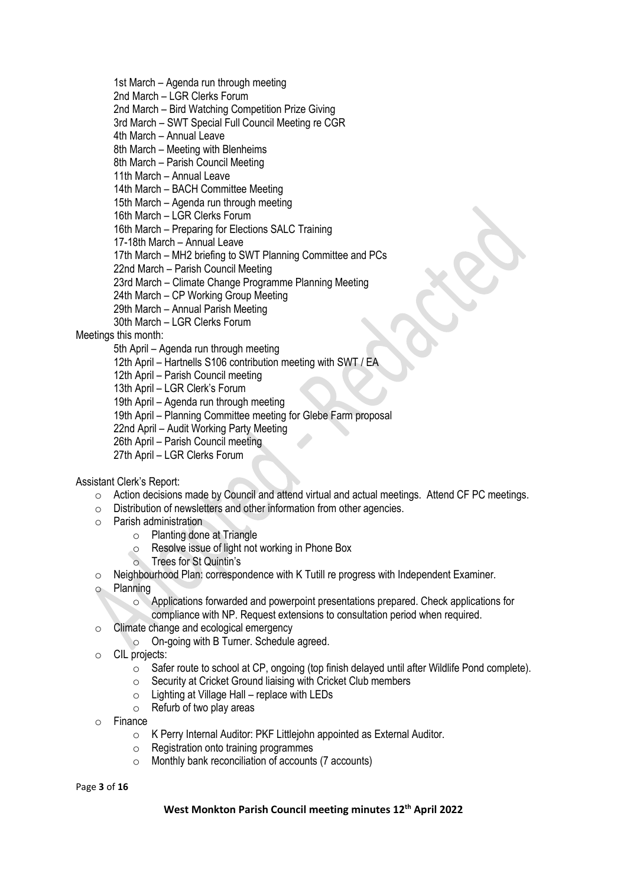1st March – Agenda run through meeting

2nd March – LGR Clerks Forum

2nd March – Bird Watching Competition Prize Giving

3rd March – SWT Special Full Council Meeting re CGR

4th March – Annual Leave

8th March – Meeting with Blenheims

8th March – Parish Council Meeting

11th March – Annual Leave

14th March – BACH Committee Meeting

15th March – Agenda run through meeting

16th March – LGR Clerks Forum

16th March – Preparing for Elections SALC Training

17-18th March – Annual Leave

17th March – MH2 briefing to SWT Planning Committee and PCs

22nd March – Parish Council Meeting

23rd March – Climate Change Programme Planning Meeting

24th March – CP Working Group Meeting

29th March – Annual Parish Meeting

30th March – LGR Clerks Forum

Meetings this month:

5th April – Agenda run through meeting

12th April – Hartnells S106 contribution meeting with SWT / EA

12th April – Parish Council meeting

13th April – LGR Clerk's Forum

19th April – Agenda run through meeting

19th April – Planning Committee meeting for Glebe Farm proposal

22nd April – Audit Working Party Meeting

26th April – Parish Council meeting

27th April – LGR Clerks Forum

Assistant Clerk's Report:

- o Action decisions made by Council and attend virtual and actual meetings. Attend CF PC meetings.
- o Distribution of newsletters and other information from other agencies.
- o Parish administration
	- o Planting done at Triangle
	- o Resolve issue of light not working in Phone Box
	- o Trees for St Quintin's
- o Neighbourhood Plan: correspondence with K Tutill re progress with Independent Examiner.
- o Planning
	- o Applications forwarded and powerpoint presentations prepared. Check applications for compliance with NP. Request extensions to consultation period when required.
- o Climate change and ecological emergency
	- o On-going with B Turner. Schedule agreed.
- o CIL projects:
	- $\circ$  Safer route to school at CP, ongoing (top finish delayed until after Wildlife Pond complete).
	- $\circ$  Security at Cricket Ground liaising with Cricket Club members
	- $\circ$  Lighting at Village Hall replace with LEDs
	- o Refurb of two play areas
- o Finance
	- o K Perry Internal Auditor: PKF Littlejohn appointed as External Auditor.
	- $\circ$  Registration onto training programmes
	- o Monthly bank reconciliation of accounts (7 accounts)

Page **3** of **16**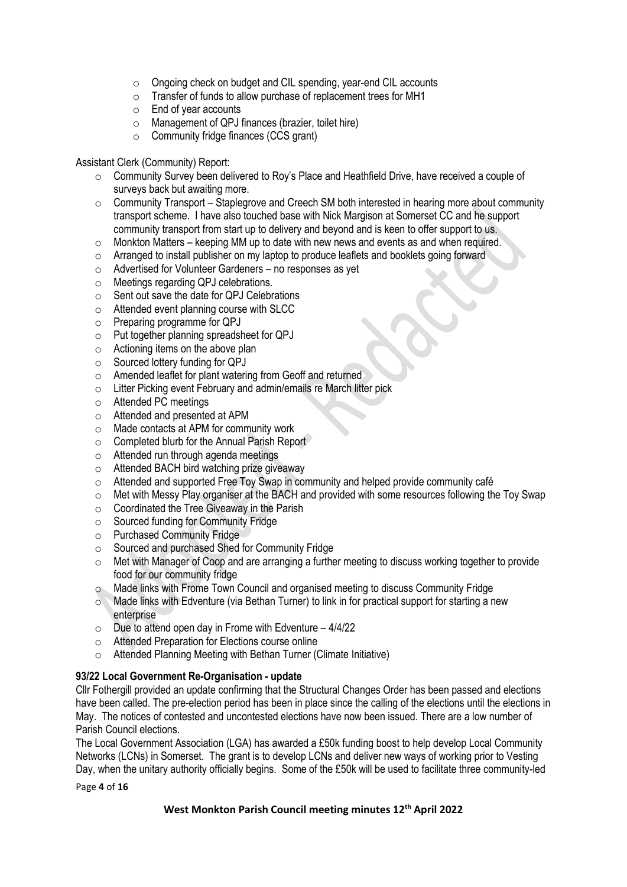- o Ongoing check on budget and CIL spending, year-end CIL accounts
- o Transfer of funds to allow purchase of replacement trees for MH1
- o End of year accounts
- $\circ$  Management of QPJ finances (brazier, toilet hire)
- $\circ$  Community fridge finances (CCS grant)

#### Assistant Clerk (Community) Report:

- o Community Survey been delivered to Roy's Place and Heathfield Drive, have received a couple of surveys back but awaiting more.
- $\circ$  Community Transport Staplegrove and Creech SM both interested in hearing more about community transport scheme. I have also touched base with Nick Margison at Somerset CC and he support community transport from start up to delivery and beyond and is keen to offer support to us.
- o Monkton Matters keeping MM up to date with new news and events as and when required.
- o Arranged to install publisher on my laptop to produce leaflets and booklets going forward
- o Advertised for Volunteer Gardeners no responses as yet
- o Meetings regarding QPJ celebrations.
- o Sent out save the date for QPJ Celebrations
- o Attended event planning course with SLCC
- o Preparing programme for QPJ
- o Put together planning spreadsheet for QPJ
- $\circ$  Actioning items on the above plan
- o Sourced lottery funding for QPJ
- o Amended leaflet for plant watering from Geoff and returned
- o Litter Picking event February and admin/emails re March litter pick
- o Attended PC meetings
- o Attended and presented at APM
- o Made contacts at APM for community work
- o Completed blurb for the Annual Parish Report
- o Attended run through agenda meetings
- o Attended BACH bird watching prize giveaway
- $\circ$  Attended and supported Free Toy Swap in community and helped provide community café
- o Met with Messy Play organiser at the BACH and provided with some resources following the Toy Swap
- o Coordinated the Tree Giveaway in the Parish
- o Sourced funding for Community Fridge
- o Purchased Community Fridge
- o Sourced and purchased Shed for Community Fridge
- o Met with Manager of Coop and are arranging a further meeting to discuss working together to provide food for our community fridge
- o Made links with Frome Town Council and organised meeting to discuss Community Fridge
- o Made links with Edventure (via Bethan Turner) to link in for practical support for starting a new enterprise
- $\circ$  Due to attend open day in Frome with Edventure 4/4/22
- o Attended Preparation for Elections course online
- o Attended Planning Meeting with Bethan Turner (Climate Initiative)

#### **93/22 Local Government Re-Organisation - update**

Cllr Fothergill provided an update confirming that the Structural Changes Order has been passed and elections have been called. The pre-election period has been in place since the calling of the elections until the elections in May. The notices of contested and uncontested elections have now been issued. There are a low number of Parish Council elections.

The Local Government Association (LGA) has awarded a £50k funding boost to help develop Local Community Networks (LCNs) in Somerset. The grant is to develop LCNs and deliver new ways of working prior to Vesting Day, when the unitary authority officially begins. Some of the £50k will be used to facilitate three community-led

Page **4** of **16**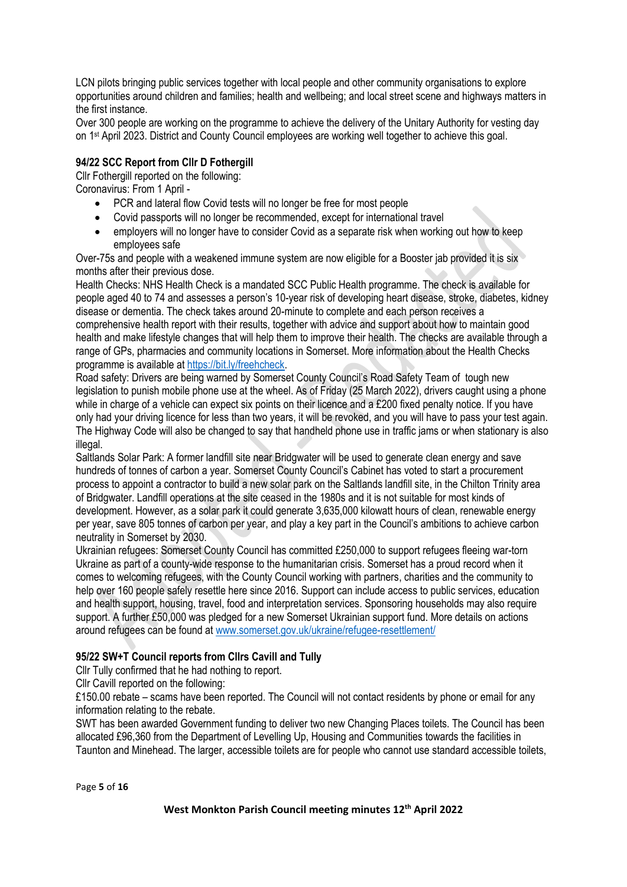LCN pilots bringing public services together with local people and other community organisations to explore opportunities around children and families; health and wellbeing; and local street scene and highways matters in the first instance.

Over 300 people are working on the programme to achieve the delivery of the Unitary Authority for vesting day on 1st April 2023. District and County Council employees are working well together to achieve this goal.

## **94/22 SCC Report from Cllr D Fothergill**

Cllr Fothergill reported on the following: Coronavirus: From 1 April -

- PCR and lateral flow Covid tests will no longer be free for most people
- Covid passports will no longer be recommended, except for international travel
- employers will no longer have to consider Covid as a separate risk when working out how to keep employees safe

Over-75s and people with a weakened immune system are now eligible for a Booster jab provided it is six months after their previous dose.

Health Checks: NHS Health Check is a mandated SCC Public Health programme. The check is available for people aged 40 to 74 and assesses a person's 10-year risk of developing heart disease, stroke, diabetes, kidney disease or dementia. The check takes around 20-minute to complete and each person receives a comprehensive health report with their results, together with advice and support about how to maintain good health and make lifestyle changes that will help them to improve their health. The checks are available through a range of GPs, pharmacies and community locations in Somerset. More information about the Health Checks programme is available at [https://bit.ly/freehcheck.](https://bit.ly/freehcheck)

Road safety: Drivers are being warned by Somerset County Council's Road Safety Team of tough new legislation to punish mobile phone use at the wheel. As of Friday (25 March 2022), drivers caught using a phone while in charge of a vehicle can expect six points on their licence and a £200 fixed penalty notice. If you have only had your driving licence for less than two years, it will be revoked, and you will have to pass your test again. The Highway Code will also be changed to say that handheld phone use in traffic jams or when stationary is also illegal.

Saltlands Solar Park: A former landfill site near Bridgwater will be used to generate clean energy and save hundreds of tonnes of carbon a year. Somerset County Council's Cabinet has voted to start a procurement process to appoint a contractor to build a new solar park on the Saltlands landfill site, in the Chilton Trinity area of Bridgwater. Landfill operations at the site ceased in the 1980s and it is not suitable for most kinds of development. However, as a solar park it could generate 3,635,000 kilowatt hours of clean, renewable energy per year, save 805 tonnes of carbon per year, and play a key part in the Council's ambitions to achieve carbon neutrality in Somerset by 2030.

Ukrainian refugees: Somerset County Council has committed £250,000 to support refugees fleeing war-torn Ukraine as part of a county-wide response to the humanitarian crisis. Somerset has a proud record when it comes to welcoming refugees, with the County Council working with partners, charities and the community to help over 160 people safely resettle here since 2016. Support can include access to public services, education and health support, housing, travel, food and interpretation services. Sponsoring households may also require support. A further £50,000 was pledged for a new Somerset Ukrainian support fund. More details on actions around refugees can be found at [www.somerset.gov.uk/ukraine/refugee-resettlement/](http://www.somerset.gov.uk/ukraine/refugee-resettlement/)

## **95/22 SW+T Council reports from Cllrs Cavill and Tully**

Cllr Tully confirmed that he had nothing to report.

Cllr Cavill reported on the following:

£150.00 rebate – scams have been reported. The Council will not contact residents by phone or email for any information relating to the rebate.

SWT has been awarded Government funding to deliver two new Changing Places toilets. The Council has been allocated £96,360 from the Department of Levelling Up, Housing and Communities towards the facilities in Taunton and Minehead. The larger, accessible toilets are for people who cannot use standard accessible toilets,

Page **5** of **16**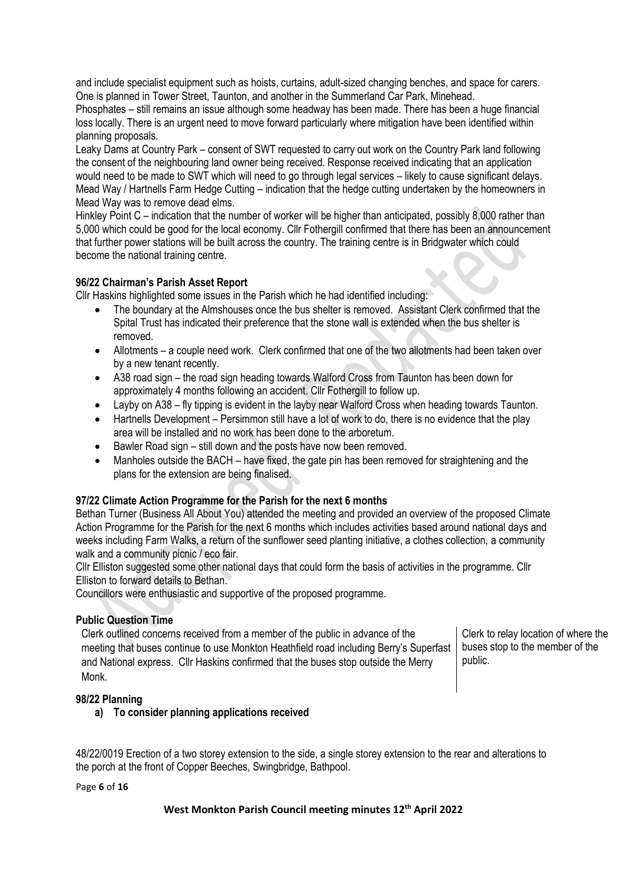and include specialist equipment such as hoists, curtains, adult-sized changing benches, and space for carers. One is planned in Tower Street, Taunton, and another in the Summerland Car Park, Minehead.

Phosphates – still remains an issue although some headway has been made. There has been a huge financial loss locally. There is an urgent need to move forward particularly where mitigation have been identified within planning proposals.

Leaky Dams at Country Park – consent of SWT requested to carry out work on the Country Park land following the consent of the neighbouring land owner being received. Response received indicating that an application would need to be made to SWT which will need to go through legal services – likely to cause significant delays. Mead Way / Hartnells Farm Hedge Cutting – indication that the hedge cutting undertaken by the homeowners in Mead Way was to remove dead elms.

Hinkley Point C – indication that the number of worker will be higher than anticipated, possibly 8,000 rather than 5,000 which could be good for the local economy. Cllr Fothergill confirmed that there has been an announcement that further power stations will be built across the country. The training centre is in Bridgwater which could become the national training centre.

## **96/22 Chairman's Parish Asset Report**

Cllr Haskins highlighted some issues in the Parish which he had identified including:

- The boundary at the Almshouses once the bus shelter is removed. Assistant Clerk confirmed that the Spital Trust has indicated their preference that the stone wall is extended when the bus shelter is removed.
- Allotments a couple need work. Clerk confirmed that one of the two allotments had been taken over by a new tenant recently.
- A38 road sign the road sign heading towards Walford Cross from Taunton has been down for approximately 4 months following an accident. Cllr Fothergill to follow up.
- Layby on A38 fly tipping is evident in the layby near Walford Cross when heading towards Taunton.
- Hartnells Development Persimmon still have a lot of work to do, there is no evidence that the play area will be installed and no work has been done to the arboretum.
- Bawler Road sign still down and the posts have now been removed.
- Manholes outside the BACH have fixed, the gate pin has been removed for straightening and the plans for the extension are being finalised.

## **97/22 Climate Action Programme for the Parish for the next 6 months**

Bethan Turner (Business All About You) attended the meeting and provided an overview of the proposed Climate Action Programme for the Parish for the next 6 months which includes activities based around national days and weeks including Farm Walks, a return of the sunflower seed planting initiative, a clothes collection, a community walk and a community picnic / eco fair.

Cllr Elliston suggested some other national days that could form the basis of activities in the programme. Cllr Elliston to forward details to Bethan.

Councillors were enthusiastic and supportive of the proposed programme.

#### **Public Question Time**

Clerk outlined concerns received from a member of the public in advance of the meeting that buses continue to use Monkton Heathfield road including Berry's Superfast and National express. Cllr Haskins confirmed that the buses stop outside the Merry Monk.

Clerk to relay location of where the buses stop to the member of the public.

#### **98/22 Planning**

**a) To consider planning applications received**

48/22/0019 Erection of a two storey extension to the side, a single storey extension to the rear and alterations to the porch at the front of Copper Beeches, Swingbridge, Bathpool.

Page **6** of **16**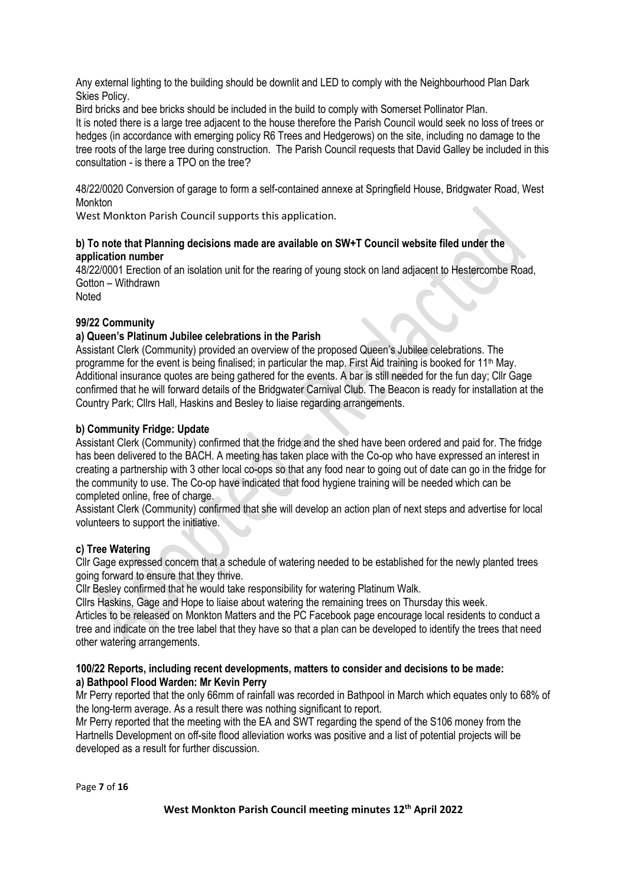Any external lighting to the building should be downlit and LED to comply with the Neighbourhood Plan Dark Skies Policy.

Bird bricks and bee bricks should be included in the build to comply with Somerset Pollinator Plan.

It is noted there is a large tree adjacent to the house therefore the Parish Council would seek no loss of trees or hedges (in accordance with emerging policy R6 Trees and Hedgerows) on the site, including no damage to the tree roots of the large tree during construction. The Parish Council requests that David Galley be included in this consultation - is there a TPO on the tree?

48/22/0020 Conversion of garage to form a self-contained annexe at Springfield House, Bridgwater Road, West Monkton

West Monkton Parish Council supports this application.

#### **b) To note that Planning decisions made are available on SW+T Council website filed under the application number**

48/22/0001 Erection of an isolation unit for the rearing of young stock on land adjacent to Hestercombe Road, Gotton – Withdrawn Noted

#### **99/22 Community**

## **a) Queen's Platinum Jubilee celebrations in the Parish**

Assistant Clerk (Community) provided an overview of the proposed Queen's Jubilee celebrations. The programme for the event is being finalised; in particular the map. First Aid training is booked for 11<sup>th</sup> May. Additional insurance quotes are being gathered for the events. A bar is still needed for the fun day; Cllr Gage confirmed that he will forward details of the Bridgwater Carnival Club. The Beacon is ready for installation at the Country Park; Cllrs Hall, Haskins and Besley to liaise regarding arrangements.

#### **b) Community Fridge: Update**

Assistant Clerk (Community) confirmed that the fridge and the shed have been ordered and paid for. The fridge has been delivered to the BACH. A meeting has taken place with the Co-op who have expressed an interest in creating a partnership with 3 other local co-ops so that any food near to going out of date can go in the fridge for the community to use. The Co-op have indicated that food hygiene training will be needed which can be completed online, free of charge.

Assistant Clerk (Community) confirmed that she will develop an action plan of next steps and advertise for local volunteers to support the initiative.

## **c) Tree Watering**

Cllr Gage expressed concern that a schedule of watering needed to be established for the newly planted trees going forward to ensure that they thrive.

Cllr Besley confirmed that he would take responsibility for watering Platinum Walk.

Cllrs Haskins, Gage and Hope to liaise about watering the remaining trees on Thursday this week.

Articles to be released on Monkton Matters and the PC Facebook page encourage local residents to conduct a tree and indicate on the tree label that they have so that a plan can be developed to identify the trees that need other watering arrangements.

#### **100/22 Reports, including recent developments, matters to consider and decisions to be made: a) Bathpool Flood Warden: Mr Kevin Perry**

Mr Perry reported that the only 66mm of rainfall was recorded in Bathpool in March which equates only to 68% of the long-term average. As a result there was nothing significant to report.

Mr Perry reported that the meeting with the EA and SWT regarding the spend of the S106 money from the Hartnells Development on off-site flood alleviation works was positive and a list of potential projects will be developed as a result for further discussion.

Page **7** of **16**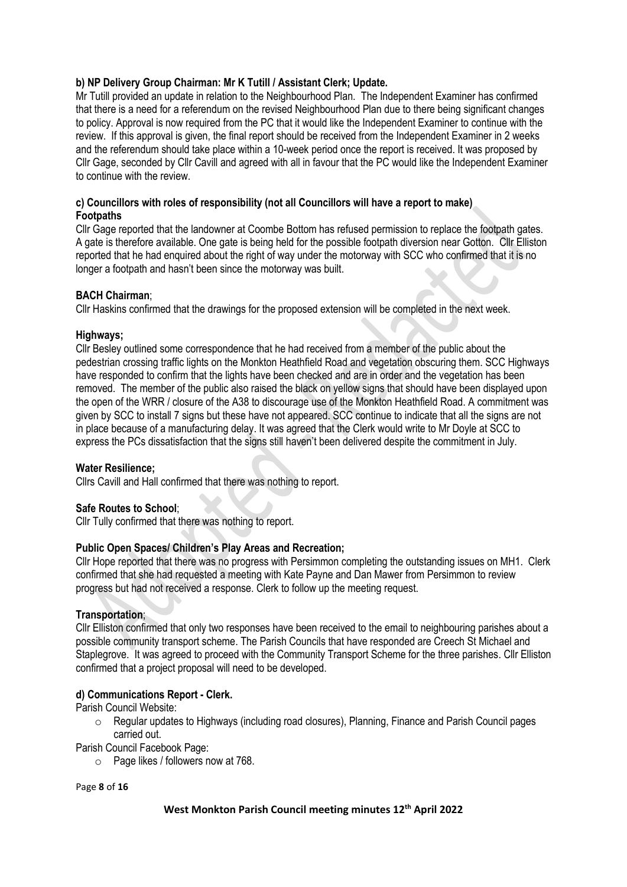## **b) NP Delivery Group Chairman: Mr K Tutill / Assistant Clerk; Update.**

Mr Tutill provided an update in relation to the Neighbourhood Plan. The Independent Examiner has confirmed that there is a need for a referendum on the revised Neighbourhood Plan due to there being significant changes to policy. Approval is now required from the PC that it would like the Independent Examiner to continue with the review. If this approval is given, the final report should be received from the Independent Examiner in 2 weeks and the referendum should take place within a 10-week period once the report is received. It was proposed by Cllr Gage, seconded by Cllr Cavill and agreed with all in favour that the PC would like the Independent Examiner to continue with the review.

#### **c) Councillors with roles of responsibility (not all Councillors will have a report to make) Footpaths**

Cllr Gage reported that the landowner at Coombe Bottom has refused permission to replace the footpath gates. A gate is therefore available. One gate is being held for the possible footpath diversion near Gotton. Cllr Elliston reported that he had enquired about the right of way under the motorway with SCC who confirmed that it is no longer a footpath and hasn't been since the motorway was built.

#### **BACH Chairman**;

Cllr Haskins confirmed that the drawings for the proposed extension will be completed in the next week.

#### **Highways;**

Cllr Besley outlined some correspondence that he had received from a member of the public about the pedestrian crossing traffic lights on the Monkton Heathfield Road and vegetation obscuring them. SCC Highways have responded to confirm that the lights have been checked and are in order and the vegetation has been removed. The member of the public also raised the black on yellow signs that should have been displayed upon the open of the WRR / closure of the A38 to discourage use of the Monkton Heathfield Road. A commitment was given by SCC to install 7 signs but these have not appeared. SCC continue to indicate that all the signs are not in place because of a manufacturing delay. It was agreed that the Clerk would write to Mr Doyle at SCC to express the PCs dissatisfaction that the signs still haven't been delivered despite the commitment in July.

#### **Water Resilience;**

Cllrs Cavill and Hall confirmed that there was nothing to report.

## **Safe Routes to School**;

Cllr Tully confirmed that there was nothing to report.

## **Public Open Spaces/ Children's Play Areas and Recreation;**

Cllr Hope reported that there was no progress with Persimmon completing the outstanding issues on MH1. Clerk confirmed that she had requested a meeting with Kate Payne and Dan Mawer from Persimmon to review progress but had not received a response. Clerk to follow up the meeting request.

## **Transportation**;

Cllr Elliston confirmed that only two responses have been received to the email to neighbouring parishes about a possible community transport scheme. The Parish Councils that have responded are Creech St Michael and Staplegrove. It was agreed to proceed with the Community Transport Scheme for the three parishes. Cllr Elliston confirmed that a project proposal will need to be developed.

## **d) Communications Report - Clerk.**

Parish Council Website:

 $\circ$  Regular updates to Highways (including road closures), Planning, Finance and Parish Council pages carried out.

Parish Council Facebook Page:

o Page likes / followers now at 768.

Page **8** of **16**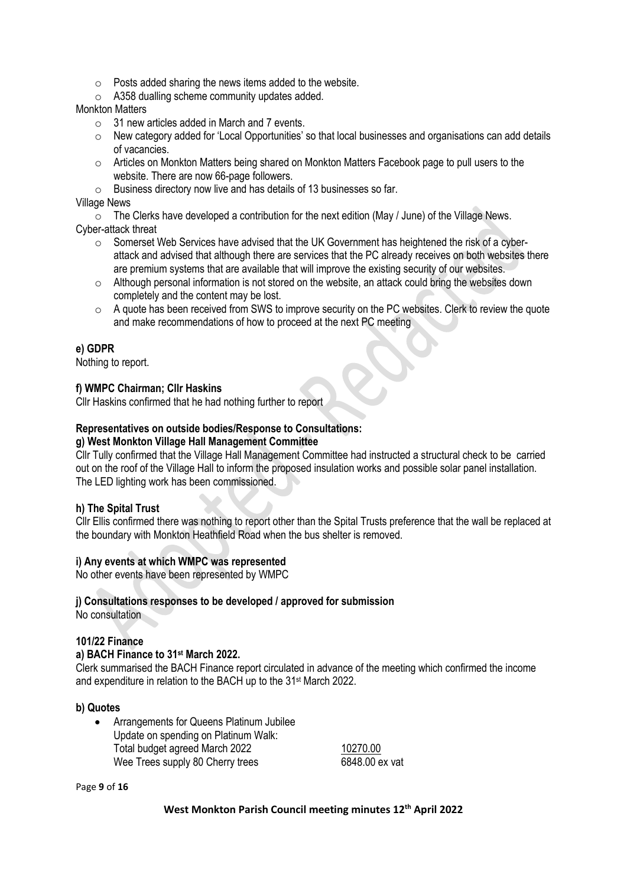- $\circ$  Posts added sharing the news items added to the website.
- o A358 dualling scheme community updates added.

## Monkton Matters

- $\circ$  31 new articles added in March and 7 events.
- $\circ$  New category added for 'Local Opportunities' so that local businesses and organisations can add details of vacancies.
- $\circ$  Articles on Monkton Matters being shared on Monkton Matters Facebook page to pull users to the website. There are now 66-page followers.
- o Business directory now live and has details of 13 businesses so far.

## Village News

 $\circ$  The Clerks have developed a contribution for the next edition (May / June) of the Village News. Cyber-attack threat

- $\circ$  Somerset Web Services have advised that the UK Government has heightened the risk of a cyberattack and advised that although there are services that the PC already receives on both websites there are premium systems that are available that will improve the existing security of our websites.
- o Although personal information is not stored on the website, an attack could bring the websites down completely and the content may be lost.
- $\circ$  A quote has been received from SWS to improve security on the PC websites. Clerk to review the quote and make recommendations of how to proceed at the next PC meeting

## **e) GDPR**

Nothing to report.

## **f) WMPC Chairman; Cllr Haskins**

Cllr Haskins confirmed that he had nothing further to report

## **Representatives on outside bodies/Response to Consultations:**

#### **g) West Monkton Village Hall Management Committee**

Cllr Tully confirmed that the Village Hall Management Committee had instructed a structural check to be carried out on the roof of the Village Hall to inform the proposed insulation works and possible solar panel installation. The LED lighting work has been commissioned.

## **h) The Spital Trust**

Cllr Ellis confirmed there was nothing to report other than the Spital Trusts preference that the wall be replaced at the boundary with Monkton Heathfield Road when the bus shelter is removed.

## **i) Any events at which WMPC was represented**

No other events have been represented by WMPC

#### **j) Consultations responses to be developed / approved for submission**

No consultation

## **101/22 Finance**

## **a) BACH Finance to 31st March 2022.**

Clerk summarised the BACH Finance report circulated in advance of the meeting which confirmed the income and expenditure in relation to the BACH up to the 31st March 2022.

#### **b) Quotes**

• Arrangements for Queens Platinum Jubilee Update on spending on Platinum Walk: Total budget agreed March 2022 10270.00 Wee Trees supply 80 Cherry trees 6848.00 ex vat

Page **9** of **16**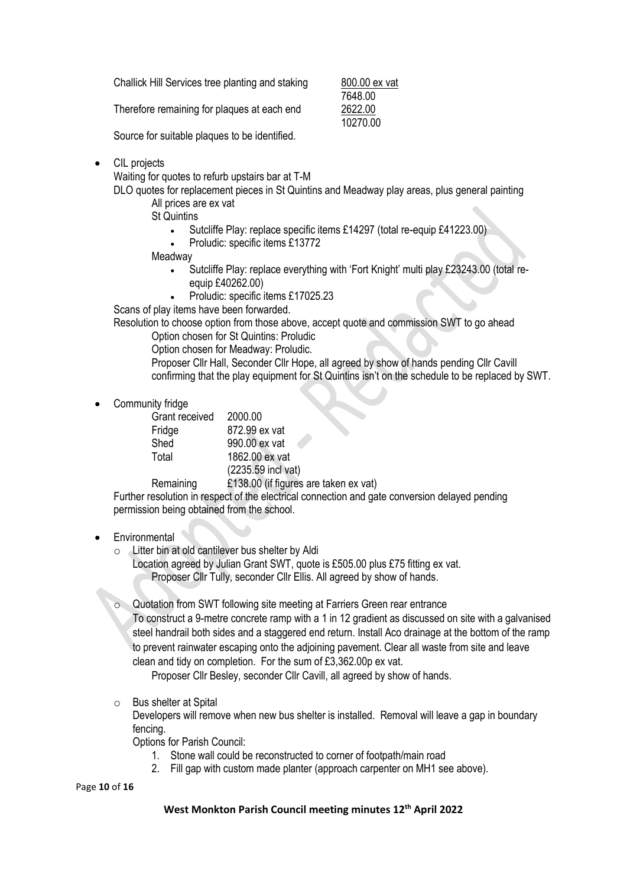Challick Hill Services tree planting and staking 800.00 ex vat

Therefore remaining for plaques at each end 2622.00

7648.00 10270.00

Source for suitable plaques to be identified.

• CIL projects

Waiting for quotes to refurb upstairs bar at T-M

DLO quotes for replacement pieces in St Quintins and Meadway play areas, plus general painting All prices are ex vat

St Quintins

- Sutcliffe Play: replace specific items £14297 (total re-equip £41223.00)
- Proludic: specific items £13772

Meadway

- Sutcliffe Play: replace everything with 'Fort Knight' multi play £23243.00 (total reequip £40262.00)
- Proludic: specific items £17025.23

Scans of play items have been forwarded.

Resolution to choose option from those above, accept quote and commission SWT to go ahead Option chosen for St Quintins: Proludic

Option chosen for Meadway: Proludic.

Proposer Cllr Hall, Seconder Cllr Hope, all agreed by show of hands pending Cllr Cavill confirming that the play equipment for St Quintins isn't on the schedule to be replaced by SWT.

Community fridge

| Grant received | 2000.00            |
|----------------|--------------------|
| Fridge         | 872.99 ex vat      |
| Shed           | 990.00 ex vat      |
| Total          | 1862.00 ex vat     |
|                | (2235.59 incl vat) |

Remaining £138.00 (if figures are taken ex vat)

Further resolution in respect of the electrical connection and gate conversion delayed pending permission being obtained from the school.

## • Environmental

o Litter bin at old cantilever bus shelter by Aldi

Location agreed by Julian Grant SWT, quote is £505.00 plus £75 fitting ex vat. Proposer Cllr Tully, seconder Cllr Ellis. All agreed by show of hands.

o Quotation from SWT following site meeting at Farriers Green rear entrance

To construct a 9-metre concrete ramp with a 1 in 12 gradient as discussed on site with a galvanised steel handrail both sides and a staggered end return. Install Aco drainage at the bottom of the ramp to prevent rainwater escaping onto the adjoining pavement. Clear all waste from site and leave clean and tidy on completion. For the sum of £3,362.00p ex vat.

Proposer Cllr Besley, seconder Cllr Cavill, all agreed by show of hands.

o Bus shelter at Spital

Developers will remove when new bus shelter is installed. Removal will leave a gap in boundary fencing.

Options for Parish Council:

- 1. Stone wall could be reconstructed to corner of footpath/main road
- 2. Fill gap with custom made planter (approach carpenter on MH1 see above).

Page **10** of **16**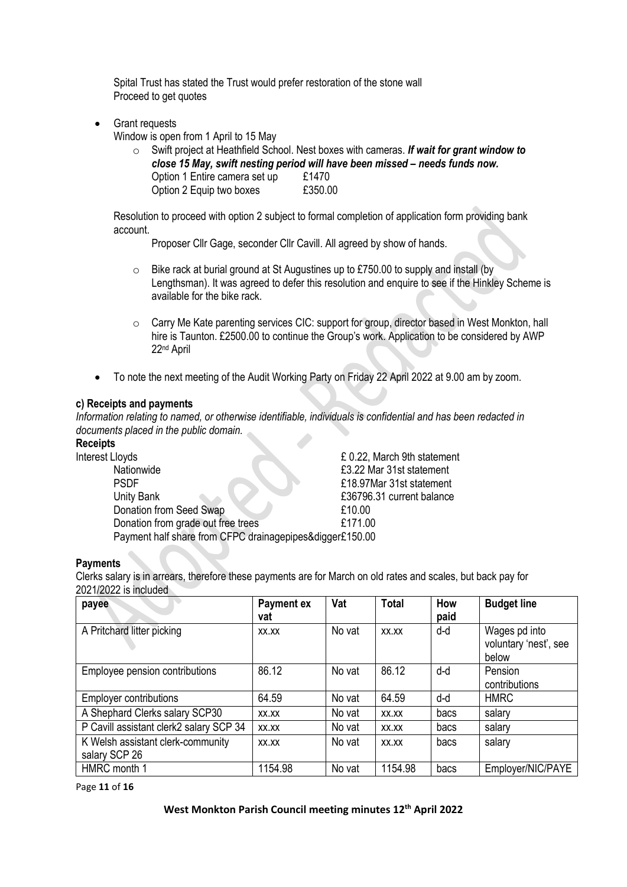Spital Trust has stated the Trust would prefer restoration of the stone wall Proceed to get quotes

• Grant requests

Window is open from 1 April to 15 May

o Swift project at Heathfield School. Nest boxes with cameras. *If wait for grant window to close 15 May, swift nesting period will have been missed – needs funds now.* Option 1 Entire camera set up £1470 Option 2 Equip two boxes E350.00

Resolution to proceed with option 2 subject to formal completion of application form providing bank account.

Proposer Cllr Gage, seconder Cllr Cavill. All agreed by show of hands.

- o Bike rack at burial ground at St Augustines up to £750.00 to supply and install (by Lengthsman). It was agreed to defer this resolution and enquire to see if the Hinkley Scheme is available for the bike rack.
- o Carry Me Kate parenting services CIC: support for group, director based in West Monkton, hall hire is Taunton. £2500.00 to continue the Group's work. Application to be considered by AWP 22nd April
- To note the next meeting of the Audit Working Party on Friday 22 April 2022 at 9.00 am by zoom.

#### **c) Receipts and payments**

*Information relating to named, or otherwise identifiable, individuals is confidential and has been redacted in documents placed in the public domain.*

# **Receipts**

| Interest Lloyds                                          | £ 0.22, March 9th statement |
|----------------------------------------------------------|-----------------------------|
| Nationwide                                               | £3.22 Mar 31st statement    |
| <b>PSDF</b>                                              | £18.97Mar 31st statement    |
| Unity Bank                                               | £36796.31 current balance   |
| Donation from Seed Swap                                  | £10.00                      |
| Donation from grade out free trees                       | £171.00                     |
| Payment half share from CFPC drainagepipes&digger£150.00 |                             |

#### **Payments**

Clerks salary is in arrears, therefore these payments are for March on old rates and scales, but back pay for 2021/2022 is included

| payee                                              | Payment ex<br>vat | Vat    | <b>Total</b> | How<br>paid | <b>Budget line</b>                              |
|----------------------------------------------------|-------------------|--------|--------------|-------------|-------------------------------------------------|
| A Pritchard litter picking                         | XX.XX             | No vat | XX.XX        | d-d         | Wages pd into<br>voluntary 'nest', see<br>below |
| Employee pension contributions                     | 86.12             | No vat | 86.12        | d-d         | Pension<br>contributions                        |
| <b>Employer contributions</b>                      | 64.59             | No vat | 64.59        | d-d         | <b>HMRC</b>                                     |
| A Shephard Clerks salary SCP30                     | XX.XX             | No vat | XX.XX        | bacs        | salary                                          |
| P Cavill assistant clerk2 salary SCP 34            | XX.XX             | No vat | XX.XX        | bacs        | salary                                          |
| K Welsh assistant clerk-community<br>salary SCP 26 | XX.XX             | No vat | XX.XX        | bacs        | salary                                          |
| HMRC month 1                                       | 1154.98           | No vat | 1154.98      | bacs        | Employer/NIC/PAYE                               |

Page **11** of **16**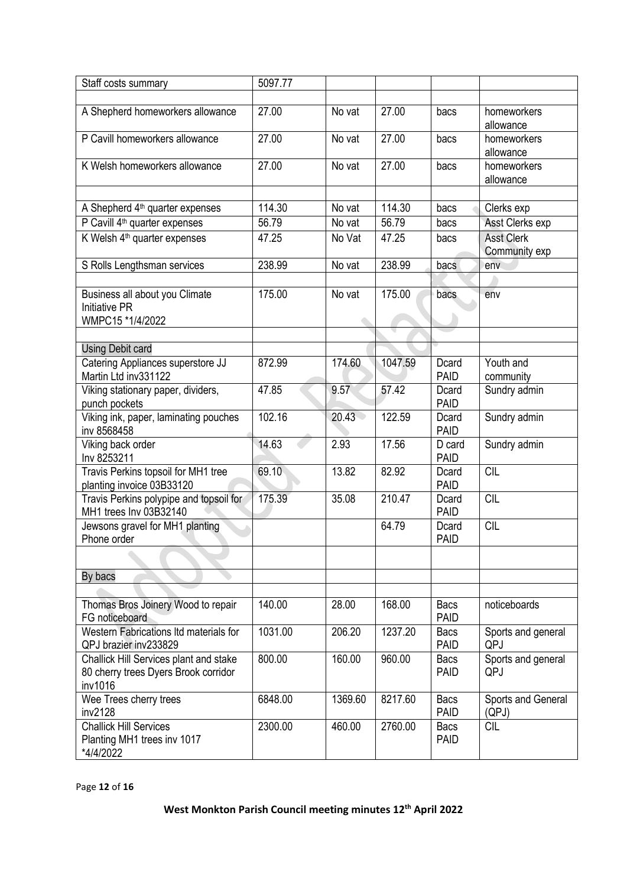| Staff costs summary                                                                       | 5097.77 |         |         |                            |                                    |
|-------------------------------------------------------------------------------------------|---------|---------|---------|----------------------------|------------------------------------|
|                                                                                           |         |         |         |                            |                                    |
| A Shepherd homeworkers allowance                                                          | 27.00   | No vat  | 27.00   | bacs                       | homeworkers<br>allowance           |
| P Cavill homeworkers allowance                                                            | 27.00   | No vat  | 27.00   | bacs                       | homeworkers<br>allowance           |
| K Welsh homeworkers allowance                                                             | 27.00   | No vat  | 27.00   | bacs                       | homeworkers<br>allowance           |
|                                                                                           | 114.30  |         | 114.30  |                            |                                    |
| A Shepherd 4 <sup>th</sup> quarter expenses                                               |         | No vat  |         | bacs                       | Clerks exp                         |
| P Cavill 4 <sup>th</sup> quarter expenses                                                 | 56.79   | No vat  | 56.79   | bacs                       | Asst Clerks exp                    |
| K Welsh 4 <sup>th</sup> quarter expenses                                                  | 47.25   | No Vat  | 47.25   | bacs                       | <b>Asst Clerk</b><br>Community exp |
| S Rolls Lengthsman services                                                               | 238.99  | No vat  | 238.99  | bacs                       | env                                |
|                                                                                           |         |         |         |                            |                                    |
| Business all about you Climate<br><b>Initiative PR</b><br>WMPC15 *1/4/2022                | 175.00  | No vat  | 175.00  | bacs                       | env                                |
|                                                                                           |         |         |         |                            |                                    |
| <b>Using Debit card</b>                                                                   |         |         |         |                            |                                    |
| Catering Appliances superstore JJ<br>Martin Ltd inv331122                                 | 872.99  | 174.60  | 1047.59 | Dcard<br><b>PAID</b>       | Youth and<br>community             |
| Viking stationary paper, dividers,<br>punch pockets                                       | 47.85   | 9.57    | 57.42   | Dcard<br><b>PAID</b>       | Sundry admin                       |
| Viking ink, paper, laminating pouches<br>inv 8568458                                      | 102.16  | 20.43   | 122.59  | Dcard<br><b>PAID</b>       | Sundry admin                       |
| Viking back order<br>Inv 8253211                                                          | 14.63   | 2.93    | 17.56   | D card<br><b>PAID</b>      | Sundry admin                       |
| Travis Perkins topsoil for MH1 tree<br>planting invoice 03B33120                          | 69.10   | 13.82   | 82.92   | Dcard<br><b>PAID</b>       | CIL                                |
| Travis Perkins polypipe and topsoil for<br>MH1 trees Inv 03B32140                         | 175.39  | 35.08   | 210.47  | Dcard<br><b>PAID</b>       | <b>CIL</b>                         |
| Jewsons gravel for MH1 planting<br>Phone order                                            |         |         | 64.79   | Dcard<br><b>PAID</b>       | <b>CIL</b>                         |
|                                                                                           |         |         |         |                            |                                    |
| By bacs                                                                                   |         |         |         |                            |                                    |
| Thomas Bros Joinery Wood to repair<br>FG noticeboard                                      | 140.00  | 28.00   | 168.00  | Bacs<br><b>PAID</b>        | noticeboards                       |
| Western Fabrications Itd materials for<br>QPJ brazier inv233829                           | 1031.00 | 206.20  | 1237.20 | Bacs<br><b>PAID</b>        | Sports and general<br>QPJ          |
| Challick Hill Services plant and stake<br>80 cherry trees Dyers Brook corridor<br>inv1016 | 800.00  | 160.00  | 960.00  | <b>Bacs</b><br><b>PAID</b> | Sports and general<br>QPJ          |
| Wee Trees cherry trees<br>inv2128                                                         | 6848.00 | 1369.60 | 8217.60 | <b>Bacs</b><br><b>PAID</b> | Sports and General<br>(QPJ)        |
| <b>Challick Hill Services</b><br>Planting MH1 trees inv 1017<br>*4/4/2022                 | 2300.00 | 460.00  | 2760.00 | Bacs<br><b>PAID</b>        | <b>CIL</b>                         |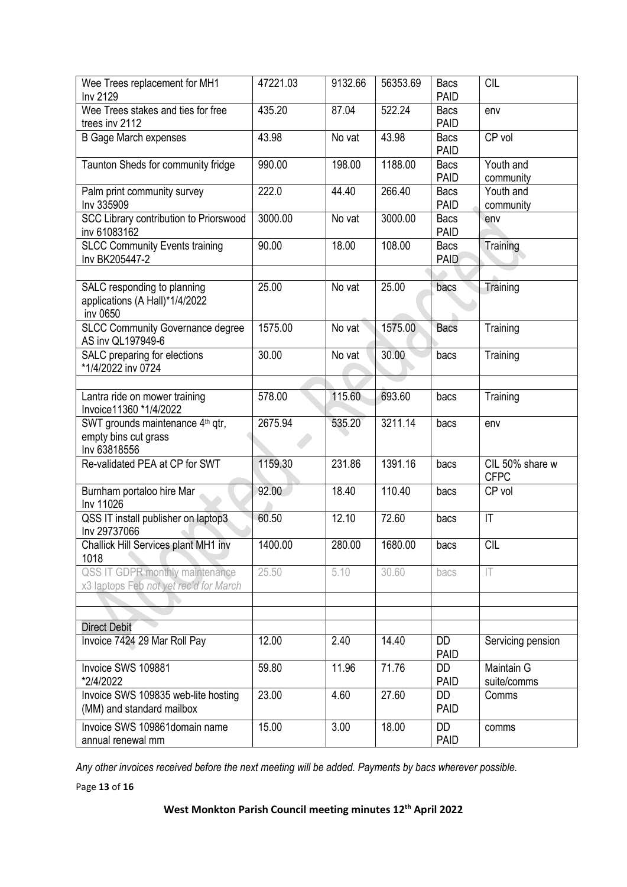| Wee Trees replacement for MH1<br>Inv 2129                                            | 47221.03 | 9132.66 | 56353.69 | <b>Bacs</b><br><b>PAID</b> | <b>CIL</b>                     |
|--------------------------------------------------------------------------------------|----------|---------|----------|----------------------------|--------------------------------|
| Wee Trees stakes and ties for free<br>trees inv 2112                                 | 435.20   | 87.04   | 522.24   | <b>Bacs</b><br><b>PAID</b> | env                            |
| <b>B Gage March expenses</b>                                                         | 43.98    | No vat  | 43.98    | <b>Bacs</b><br><b>PAID</b> | CP vol                         |
| Taunton Sheds for community fridge                                                   | 990.00   | 198.00  | 1188.00  | Bacs<br><b>PAID</b>        | Youth and<br>community         |
| Palm print community survey<br>Inv 335909                                            | 222.0    | 44.40   | 266.40   | <b>Bacs</b><br><b>PAID</b> | Youth and<br>community         |
| SCC Library contribution to Priorswood<br>inv 61083162                               | 3000.00  | No vat  | 3000.00  | <b>Bacs</b><br><b>PAID</b> | env                            |
| <b>SLCC Community Events training</b><br>Inv BK205447-2                              | 90.00    | 18.00   | 108.00   | Bacs<br>PAID               | Training                       |
|                                                                                      |          |         |          |                            |                                |
| SALC responding to planning<br>applications (A Hall)*1/4/2022<br>inv 0650            | 25.00    | No vat  | 25.00    | bacs                       | Training                       |
| <b>SLCC Community Governance degree</b><br>AS inv QL197949-6                         | 1575.00  | No vat  | 1575.00  | <b>Bacs</b>                | Training                       |
| SALC preparing for elections<br>*1/4/2022 inv 0724                                   | 30.00    | No vat  | 30.00    | bacs                       | Training                       |
|                                                                                      |          |         |          |                            |                                |
| Lantra ride on mower training<br>Invoice11360 *1/4/2022                              | 578.00   | 115.60  | 693.60   | bacs                       | Training                       |
| SWT grounds maintenance 4 <sup>th</sup> qtr,<br>empty bins cut grass<br>Inv 63818556 | 2675.94  | 535.20  | 3211.14  | bacs                       | env                            |
| Re-validated PEA at CP for SWT                                                       | 1159.30  | 231.86  | 1391.16  | bacs                       | CIL 50% share w<br><b>CFPC</b> |
| Burnham portaloo hire Mar<br>Inv 11026                                               | 92.00    | 18.40   | 110.40   | bacs                       | CP vol                         |
| QSS IT install publisher on laptop3<br>Inv 29737066                                  | 60.50    | 12.10   | 72.60    | bacs                       | $\mathsf{I}\mathsf{T}$         |
| Challick Hill Services plant MH1 inv<br>1018                                         | 1400.00  | 280.00  | 1680.00  | bacs                       | CIL                            |
| QSS IT GDPR monthly maintenance<br>x3 laptops Feb not yet rec'd for March            | 25.50    | 5.10    | 30.60    | bacs                       | IT                             |
|                                                                                      |          |         |          |                            |                                |
|                                                                                      |          |         |          |                            |                                |
| <b>Direct Debit</b>                                                                  |          |         |          |                            |                                |
| Invoice 7424 29 Mar Roll Pay                                                         | 12.00    | 2.40    | 14.40    | DD<br><b>PAID</b>          | Servicing pension              |
| Invoice SWS 109881<br>*2/4/2022                                                      | 59.80    | 11.96   | 71.76    | DD<br><b>PAID</b>          | Maintain G<br>suite/comms      |
| Invoice SWS 109835 web-lite hosting<br>(MM) and standard mailbox                     | 23.00    | 4.60    | 27.60    | DD<br><b>PAID</b>          | Comms                          |
| Invoice SWS 109861domain name<br>annual renewal mm                                   | 15.00    | 3.00    | 18.00    | <b>DD</b><br><b>PAID</b>   | comms                          |

*Any other invoices received before the next meeting will be added. Payments by bacs wherever possible.*

Page **13** of **16**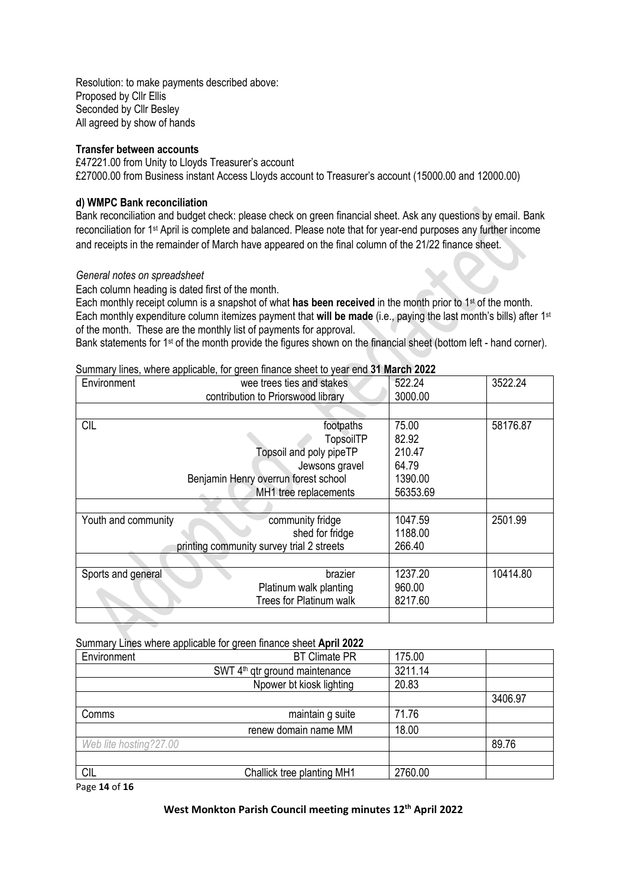Resolution: to make payments described above: Proposed by Cllr Ellis Seconded by Cllr Besley All agreed by show of hands

#### **Transfer between accounts**

£47221.00 from Unity to Lloyds Treasurer's account £27000.00 from Business instant Access Lloyds account to Treasurer's account (15000.00 and 12000.00)

#### **d) WMPC Bank reconciliation**

Bank reconciliation and budget check: please check on green financial sheet. Ask any questions by email. Bank reconciliation for 1st April is complete and balanced. Please note that for year-end purposes any further income and receipts in the remainder of March have appeared on the final column of the 21/22 finance sheet.

#### *General notes on spreadsheet*

Each column heading is dated first of the month.

Each monthly receipt column is a snapshot of what **has been received** in the month prior to 1st of the month. Each monthly expenditure column itemizes payment that **will be made** (i.e., paying the last month's bills) after 1st of the month. These are the monthly list of payments for approval.

Bank statements for 1<sup>st</sup> of the month provide the figures shown on the financial sheet (bottom left - hand corner).

#### Summary lines, where applicable, for green finance sheet to year end **31 March 2022**

| Environment                               | wee trees ties and stakes            | 522.24   | 3522.24  |
|-------------------------------------------|--------------------------------------|----------|----------|
|                                           | contribution to Priorswood library   | 3000.00  |          |
|                                           |                                      |          |          |
| <b>CIL</b>                                | footpaths                            | 75.00    | 58176.87 |
|                                           | <b>TopsoilTP</b>                     | 82.92    |          |
|                                           | Topsoil and poly pipeTP              | 210.47   |          |
|                                           | Jewsons gravel                       | 64.79    |          |
|                                           | Benjamin Henry overrun forest school | 1390.00  |          |
|                                           | MH1 tree replacements                | 56353.69 |          |
|                                           |                                      |          |          |
| Youth and community                       | community fridge                     | 1047.59  | 2501.99  |
|                                           | shed for fridge                      | 1188.00  |          |
| printing community survey trial 2 streets |                                      | 266.40   |          |
|                                           |                                      |          |          |
| Sports and general                        | brazier                              | 1237.20  | 10414.80 |
|                                           | Platinum walk planting               | 960.00   |          |
|                                           | Trees for Platinum walk              | 8217.60  |          |
|                                           |                                      |          |          |

#### Summary Lines where applicable for green finance sheet **April 2022**

| Environment            | <b>BT Climate PR</b>                       | 175.00  |         |
|------------------------|--------------------------------------------|---------|---------|
|                        | SWT 4 <sup>th</sup> qtr ground maintenance | 3211.14 |         |
|                        | Npower bt kiosk lighting                   | 20.83   |         |
|                        |                                            |         | 3406.97 |
| Comms                  | maintain g suite                           | 71.76   |         |
|                        | renew domain name MM                       | 18.00   |         |
| Web lite hosting?27.00 |                                            |         | 89.76   |
|                        |                                            |         |         |
| CIL                    | Challick tree planting MH1                 | 2760.00 |         |

Page **14** of **16**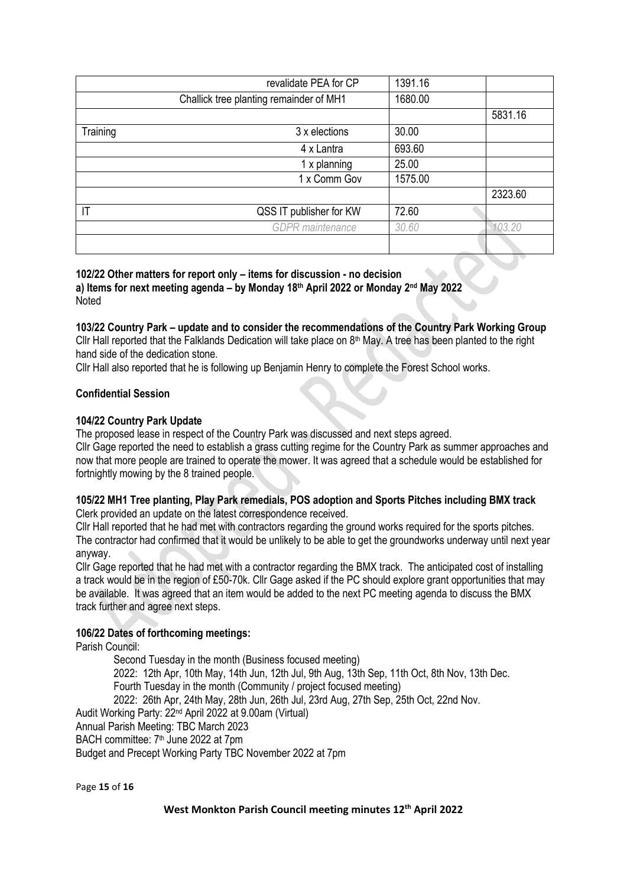|          | revalidate PEA for CP                   | 1391.16 |         |
|----------|-----------------------------------------|---------|---------|
|          | Challick tree planting remainder of MH1 | 1680.00 |         |
|          |                                         |         | 5831.16 |
| Training | 3 x elections                           | 30.00   |         |
|          | 4 x Lantra                              | 693.60  |         |
|          | 1 x planning                            | 25.00   |         |
|          | 1 x Comm Gov                            | 1575.00 |         |
|          |                                         |         | 2323.60 |
| IT       | QSS IT publisher for KW                 | 72.60   |         |
|          | <b>GDPR</b> maintenance                 | 30.60   | 103.20  |
|          |                                         |         |         |

**102/22 Other matters for report only – items for discussion - no decision a) Items for next meeting agenda – by Monday 18 th April 2022 or Monday 2 nd May 2022** Noted

**103/22 Country Park – update and to consider the recommendations of the Country Park Working Group** Cllr Hall reported that the Falklands Dedication will take place on  $8<sup>th</sup>$  May. A tree has been planted to the right hand side of the dedication stone.

Cllr Hall also reported that he is following up Benjamin Henry to complete the Forest School works.

#### **Confidential Session**

#### **104/22 Country Park Update**

The proposed lease in respect of the Country Park was discussed and next steps agreed.

Cllr Gage reported the need to establish a grass cutting regime for the Country Park as summer approaches and now that more people are trained to operate the mower. It was agreed that a schedule would be established for fortnightly mowing by the 8 trained people.

#### **105/22 MH1 Tree planting, Play Park remedials, POS adoption and Sports Pitches including BMX track** Clerk provided an update on the latest correspondence received.

Cllr Hall reported that he had met with contractors regarding the ground works required for the sports pitches. The contractor had confirmed that it would be unlikely to be able to get the groundworks underway until next year anyway.

Cllr Gage reported that he had met with a contractor regarding the BMX track. The anticipated cost of installing a track would be in the region of £50-70k. Cllr Gage asked if the PC should explore grant opportunities that may be available. It was agreed that an item would be added to the next PC meeting agenda to discuss the BMX track further and agree next steps.

## **106/22 Dates of forthcoming meetings:**

Parish Council:

Second Tuesday in the month (Business focused meeting) 2022: 12th Apr, 10th May, 14th Jun, 12th Jul, 9th Aug, 13th Sep, 11th Oct, 8th Nov, 13th Dec. Fourth Tuesday in the month (Community / project focused meeting) 2022: 26th Apr, 24th May, 28th Jun, 26th Jul, 23rd Aug, 27th Sep, 25th Oct, 22nd Nov. Audit Working Party: 22<sup>nd</sup> April 2022 at 9.00am (Virtual) Annual Parish Meeting: TBC March 2023 BACH committee: 7<sup>th</sup> June 2022 at 7pm Budget and Precept Working Party TBC November 2022 at 7pm

Page **15** of **16**